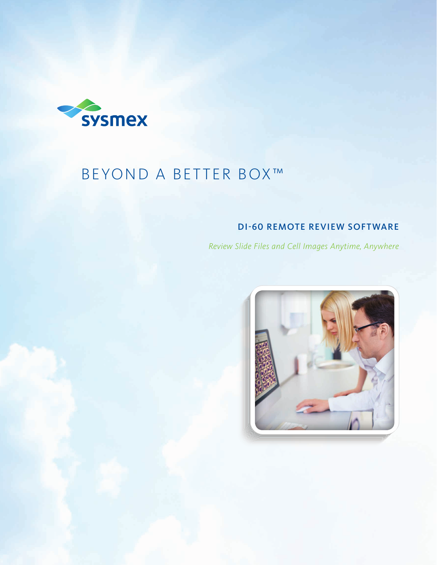

# BEYOND A BETTER BOX™

## DI-60 REMOTE REVIEW SOFTWARE

*Review Slide Files and Cell Images Anytime, Anywhere*

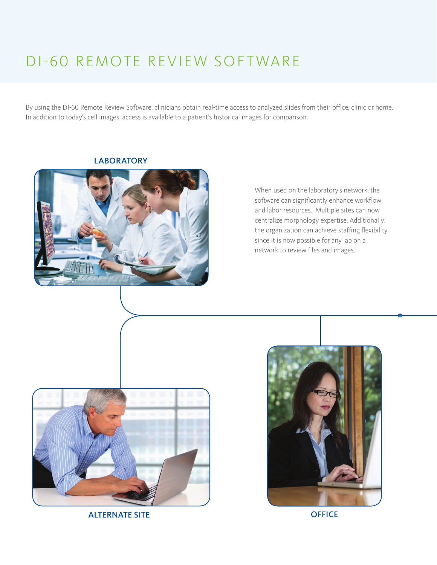## DI-60 REMOTE REVIEW SOFTWARE

By using the DI-60 Remote Review Software, clinicians obtain real-time access to analyzed slides from their office, clinic or home. In addition to today's cell images, access is available to a patient's historical images for comparison.



**LABORATORY** 

When used on the laboratory's network, the software can significantly enhance workflow and labor resources. Multiple sites can now centralize morphology expertise. Additionally, the organization can achieve staffing flexibility since it is now possible for any lab on a network to review files and images.



ALTERNATE SITE OFFICE

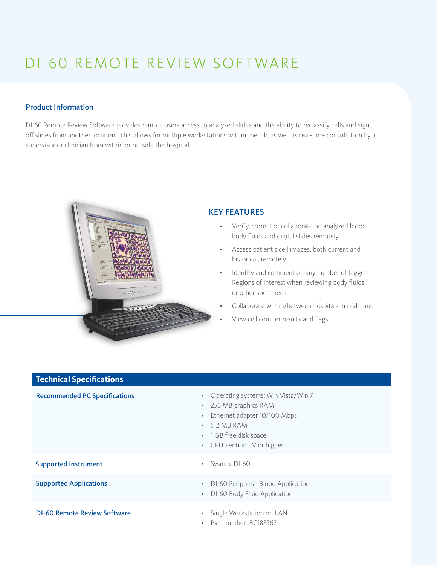# DI-60 REMOTE REVIEW SOFTWARE

### Product Information

DI-60 Remote Review Software provides remote users access to analyzed slides and the ability to reclassify cells and sign off slides from another location. This allows for multiple work-stations within the lab, as well as real-time consultation by a supervisor or clinician from within or outside the hospital.



**Technical Specifications**

### KEY FEATURES

- • Verify, correct or collaborate on analyzed blood, body fluids and digital slides remotely.
- • Access patient's cell images, both current and historical, remotely.
- Identify and comment on any number of tagged Regions of Interest when reviewing body fluids or other specimens.
- Collaborate within/between hospitals in real time.
- View cell counter results and flags.

| <b>ICCITITION SPECIFICATIONS</b>     |                                                                                                                                                                                                                              |
|--------------------------------------|------------------------------------------------------------------------------------------------------------------------------------------------------------------------------------------------------------------------------|
| <b>Recommended PC Specifications</b> | Operating systems: Win Vista/Win 7<br>$\bullet$<br>256 MB graphics RAM<br>$\bullet$<br>Ethernet adapter 10/100 Mbps<br>$\bullet$<br>512 MB RAM<br>1 GB free disk space<br>$\bullet$<br>CPU Pentium IV or higher<br>$\bullet$ |
| <b>Supported Instrument</b>          | Sysmex DI-60<br>$\bullet$                                                                                                                                                                                                    |
| <b>Supported Applications</b>        | DI-60 Peripheral Blood Application<br>$\bullet$<br>DI-60 Body Fluid Application<br>$\bullet$                                                                                                                                 |
| <b>DI-60 Remote Review Software</b>  | Single Workstation on LAN<br>$\bullet$<br>Part number: BC188562                                                                                                                                                              |